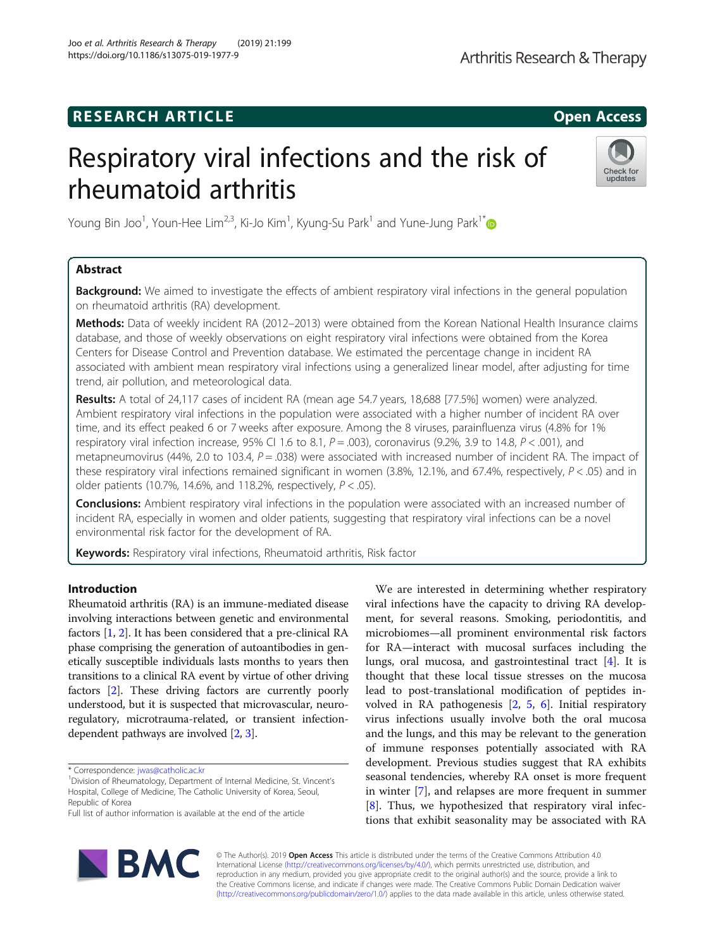## **RESEARCH ARTICLE Example 2014 CONSIDERING CONSIDERING CONSIDERING CONSIDERING CONSIDERING CONSIDERING CONSIDERING CONSIDERING CONSIDERING CONSIDERING CONSIDERING CONSIDERING CONSIDERING CONSIDERING CONSIDERING CONSIDE**

# Respiratory viral infections and the risk of rheumatoid arthritis



Young Bin Joo<sup>1</sup>, Youn-Hee Lim<sup>2,3</sup>, Ki-Jo Kim<sup>1</sup>, Kyung-Su Park<sup>1</sup> and Yune-Jung Park<sup>1\*</sup>

### Abstract

**Background:** We aimed to investigate the effects of ambient respiratory viral infections in the general population on rheumatoid arthritis (RA) development.

Methods: Data of weekly incident RA (2012–2013) were obtained from the Korean National Health Insurance claims database, and those of weekly observations on eight respiratory viral infections were obtained from the Korea Centers for Disease Control and Prevention database. We estimated the percentage change in incident RA associated with ambient mean respiratory viral infections using a generalized linear model, after adjusting for time trend, air pollution, and meteorological data.

Results: A total of 24,117 cases of incident RA (mean age 54.7 years, 18,688 [77.5%] women) were analyzed. Ambient respiratory viral infections in the population were associated with a higher number of incident RA over time, and its effect peaked 6 or 7 weeks after exposure. Among the 8 viruses, parainfluenza virus (4.8% for 1% respiratory viral infection increase, 95% CI 1.6 to 8.1,  $P = .003$ ), coronavirus (9.2%, 3.9 to 14.8,  $P < .001$ ), and metapneumovirus (44%, 2.0 to 103.4,  $P = .038$ ) were associated with increased number of incident RA. The impact of these respiratory viral infections remained significant in women (3.8%, 12.1%, and 67.4%, respectively,  $P < .05$ ) and in older patients (10.7%, 14.6%, and 118.2%, respectively,  $P < .05$ ).

Conclusions: Ambient respiratory viral infections in the population were associated with an increased number of incident RA, especially in women and older patients, suggesting that respiratory viral infections can be a novel environmental risk factor for the development of RA.

Keywords: Respiratory viral infections, Rheumatoid arthritis, Risk factor

#### Introduction

Rheumatoid arthritis (RA) is an immune-mediated disease involving interactions between genetic and environmental factors [\[1](#page-7-0), [2\]](#page-7-0). It has been considered that a pre-clinical RA phase comprising the generation of autoantibodies in genetically susceptible individuals lasts months to years then transitions to a clinical RA event by virtue of other driving factors [\[2](#page-7-0)]. These driving factors are currently poorly understood, but it is suspected that microvascular, neuroregulatory, microtrauma-related, or transient infectiondependent pathways are involved [\[2,](#page-7-0) [3](#page-7-0)].

We are interested in determining whether respiratory viral infections have the capacity to driving RA development, for several reasons. Smoking, periodontitis, and microbiomes—all prominent environmental risk factors for RA—interact with mucosal surfaces including the lungs, oral mucosa, and gastrointestinal tract [[4\]](#page-7-0). It is thought that these local tissue stresses on the mucosa lead to post-translational modification of peptides involved in RA pathogenesis [[2,](#page-7-0) [5,](#page-7-0) [6\]](#page-7-0). Initial respiratory virus infections usually involve both the oral mucosa and the lungs, and this may be relevant to the generation of immune responses potentially associated with RA development. Previous studies suggest that RA exhibits seasonal tendencies, whereby RA onset is more frequent in winter [\[7](#page-7-0)], and relapses are more frequent in summer [[8\]](#page-7-0). Thus, we hypothesized that respiratory viral infections that exhibit seasonality may be associated with RA



© The Author(s). 2019 **Open Access** This article is distributed under the terms of the Creative Commons Attribution 4.0 International License [\(http://creativecommons.org/licenses/by/4.0/](http://creativecommons.org/licenses/by/4.0/)), which permits unrestricted use, distribution, and reproduction in any medium, provided you give appropriate credit to the original author(s) and the source, provide a link to the Creative Commons license, and indicate if changes were made. The Creative Commons Public Domain Dedication waiver [\(http://creativecommons.org/publicdomain/zero/1.0/](http://creativecommons.org/publicdomain/zero/1.0/)) applies to the data made available in this article, unless otherwise stated.

<sup>\*</sup> Correspondence: [jwas@catholic.ac.kr](mailto:jwas@catholic.ac.kr) <sup>1</sup>

<sup>&</sup>lt;sup>1</sup> Division of Rheumatology, Department of Internal Medicine, St. Vincent's Hospital, College of Medicine, The Catholic University of Korea, Seoul, Republic of Korea

Full list of author information is available at the end of the article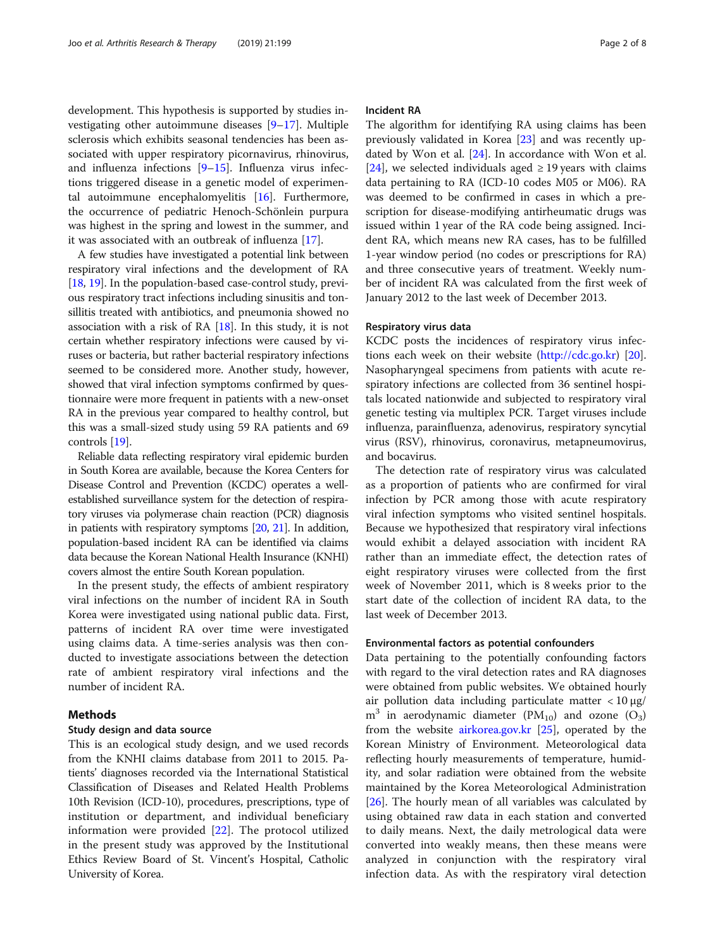development. This hypothesis is supported by studies investigating other autoimmune diseases [[9](#page-7-0)–[17](#page-7-0)]. Multiple sclerosis which exhibits seasonal tendencies has been associated with upper respiratory picornavirus, rhinovirus, and influenza infections [[9](#page-7-0)–[15](#page-7-0)]. Influenza virus infections triggered disease in a genetic model of experimental autoimmune encephalomyelitis [[16](#page-7-0)]. Furthermore, the occurrence of pediatric Henoch-Schönlein purpura was highest in the spring and lowest in the summer, and it was associated with an outbreak of influenza [\[17](#page-7-0)].

A few studies have investigated a potential link between respiratory viral infections and the development of RA [[18](#page-7-0), [19\]](#page-7-0). In the population-based case-control study, previous respiratory tract infections including sinusitis and tonsillitis treated with antibiotics, and pneumonia showed no association with a risk of RA [\[18\]](#page-7-0). In this study, it is not certain whether respiratory infections were caused by viruses or bacteria, but rather bacterial respiratory infections seemed to be considered more. Another study, however, showed that viral infection symptoms confirmed by questionnaire were more frequent in patients with a new-onset RA in the previous year compared to healthy control, but this was a small-sized study using 59 RA patients and 69 controls [[19\]](#page-7-0).

Reliable data reflecting respiratory viral epidemic burden in South Korea are available, because the Korea Centers for Disease Control and Prevention (KCDC) operates a wellestablished surveillance system for the detection of respiratory viruses via polymerase chain reaction (PCR) diagnosis in patients with respiratory symptoms [[20](#page-7-0), [21\]](#page-7-0). In addition, population-based incident RA can be identified via claims data because the Korean National Health Insurance (KNHI) covers almost the entire South Korean population.

In the present study, the effects of ambient respiratory viral infections on the number of incident RA in South Korea were investigated using national public data. First, patterns of incident RA over time were investigated using claims data. A time-series analysis was then conducted to investigate associations between the detection rate of ambient respiratory viral infections and the number of incident RA.

#### Methods

#### Study design and data source

This is an ecological study design, and we used records from the KNHI claims database from 2011 to 2015. Patients' diagnoses recorded via the International Statistical Classification of Diseases and Related Health Problems 10th Revision (ICD-10), procedures, prescriptions, type of institution or department, and individual beneficiary information were provided [\[22](#page-7-0)]. The protocol utilized in the present study was approved by the Institutional Ethics Review Board of St. Vincent's Hospital, Catholic University of Korea.

#### Incident RA

The algorithm for identifying RA using claims has been previously validated in Korea [\[23](#page-7-0)] and was recently updated by Won et al.  $[24]$  $[24]$ . In accordance with Won et al. [[24\]](#page-7-0), we selected individuals aged  $\geq$  19 years with claims data pertaining to RA (ICD-10 codes M05 or M06). RA was deemed to be confirmed in cases in which a prescription for disease-modifying antirheumatic drugs was issued within 1 year of the RA code being assigned. Incident RA, which means new RA cases, has to be fulfilled 1-year window period (no codes or prescriptions for RA) and three consecutive years of treatment. Weekly number of incident RA was calculated from the first week of January 2012 to the last week of December 2013.

#### Respiratory virus data

KCDC posts the incidences of respiratory virus infections each week on their website [\(http://cdc.go.kr](http://cdc.go.kr)) [\[20](#page-7-0)]. Nasopharyngeal specimens from patients with acute respiratory infections are collected from 36 sentinel hospitals located nationwide and subjected to respiratory viral genetic testing via multiplex PCR. Target viruses include influenza, parainfluenza, adenovirus, respiratory syncytial virus (RSV), rhinovirus, coronavirus, metapneumovirus, and bocavirus.

The detection rate of respiratory virus was calculated as a proportion of patients who are confirmed for viral infection by PCR among those with acute respiratory viral infection symptoms who visited sentinel hospitals. Because we hypothesized that respiratory viral infections would exhibit a delayed association with incident RA rather than an immediate effect, the detection rates of eight respiratory viruses were collected from the first week of November 2011, which is 8 weeks prior to the start date of the collection of incident RA data, to the last week of December 2013.

#### Environmental factors as potential confounders

Data pertaining to the potentially confounding factors with regard to the viral detection rates and RA diagnoses were obtained from public websites. We obtained hourly air pollution data including particulate matter  $\langle 10 \mu g /$  $m<sup>3</sup>$  in aerodynamic diameter (PM<sub>10</sub>) and ozone (O<sub>3</sub>) from the website [airkorea.gov.kr](http://airkorea.gov.kr) [[25\]](#page-7-0), operated by the Korean Ministry of Environment. Meteorological data reflecting hourly measurements of temperature, humidity, and solar radiation were obtained from the website maintained by the Korea Meteorological Administration [[26\]](#page-7-0). The hourly mean of all variables was calculated by using obtained raw data in each station and converted to daily means. Next, the daily metrological data were converted into weakly means, then these means were analyzed in conjunction with the respiratory viral infection data. As with the respiratory viral detection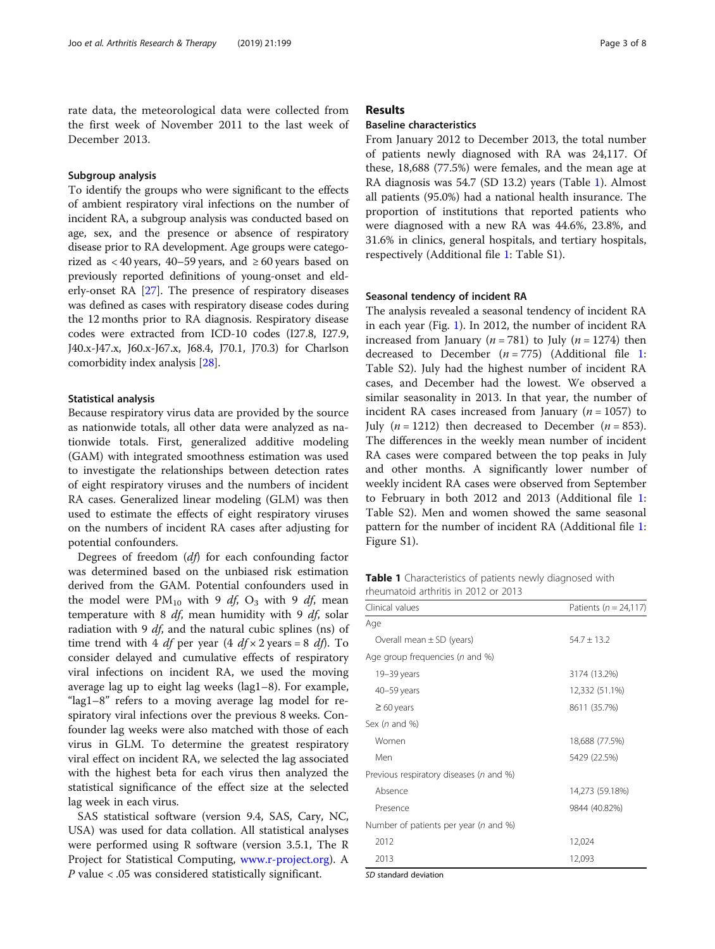rate data, the meteorological data were collected from the first week of November 2011 to the last week of December 2013.

#### Subgroup analysis

To identify the groups who were significant to the effects of ambient respiratory viral infections on the number of incident RA, a subgroup analysis was conducted based on age, sex, and the presence or absence of respiratory disease prior to RA development. Age groups were categorized as < 40 years, 40–59 years, and  $\geq 60$  years based on previously reported definitions of young-onset and elderly-onset RA [[27](#page-7-0)]. The presence of respiratory diseases was defined as cases with respiratory disease codes during the 12 months prior to RA diagnosis. Respiratory disease codes were extracted from ICD-10 codes (I27.8, I27.9, J40.x-J47.x, J60.x-J67.x, J68.4, J70.1, J70.3) for Charlson comorbidity index analysis [[28](#page-7-0)].

#### Statistical analysis

Because respiratory virus data are provided by the source as nationwide totals, all other data were analyzed as nationwide totals. First, generalized additive modeling (GAM) with integrated smoothness estimation was used to investigate the relationships between detection rates of eight respiratory viruses and the numbers of incident RA cases. Generalized linear modeling (GLM) was then used to estimate the effects of eight respiratory viruses on the numbers of incident RA cases after adjusting for potential confounders.

Degrees of freedom  $(df)$  for each confounding factor was determined based on the unbiased risk estimation derived from the GAM. Potential confounders used in the model were  $PM_{10}$  with 9 df, O<sub>3</sub> with 9 df, mean temperature with 8  $df$ , mean humidity with 9  $df$ , solar radiation with 9  $df$ , and the natural cubic splines (ns) of time trend with 4 *df* per year  $(4 \frac{df}{\times} 2 \text{ years} = 8 \frac{df}{\times} 1$ . To consider delayed and cumulative effects of respiratory viral infections on incident RA, we used the moving average lag up to eight lag weeks (lag1–8). For example, "lag1–8" refers to a moving average lag model for respiratory viral infections over the previous 8 weeks. Confounder lag weeks were also matched with those of each virus in GLM. To determine the greatest respiratory viral effect on incident RA, we selected the lag associated with the highest beta for each virus then analyzed the statistical significance of the effect size at the selected lag week in each virus.

SAS statistical software (version 9.4, SAS, Cary, NC, USA) was used for data collation. All statistical analyses were performed using R software (version 3.5.1, The R Project for Statistical Computing, [www.r-project.org](http://www.r-project.org)). A P value < .05 was considered statistically significant.

#### Results

#### Baseline characteristics

From January 2012 to December 2013, the total number of patients newly diagnosed with RA was 24,117. Of these, 18,688 (77.5%) were females, and the mean age at RA diagnosis was 54.7 (SD 13.2) years (Table 1). Almost all patients (95.0%) had a national health insurance. The proportion of institutions that reported patients who were diagnosed with a new RA was 44.6%, 23.8%, and 31.6% in clinics, general hospitals, and tertiary hospitals, respectively (Additional file [1:](#page-6-0) Table S1).

#### Seasonal tendency of incident RA

The analysis revealed a seasonal tendency of incident RA in each year (Fig. [1\)](#page-3-0). In 2012, the number of incident RA increased from January ( $n = 781$ ) to July ( $n = 1274$ ) then decreased to December  $(n = 775)$  (Additional file [1](#page-6-0): Table S2). July had the highest number of incident RA cases, and December had the lowest. We observed a similar seasonality in 2013. In that year, the number of incident RA cases increased from January ( $n = 1057$ ) to July  $(n = 1212)$  then decreased to December  $(n = 853)$ . The differences in the weekly mean number of incident RA cases were compared between the top peaks in July and other months. A significantly lower number of weekly incident RA cases were observed from September to February in both 2012 and 2013 (Additional file [1](#page-6-0): Table S2). Men and women showed the same seasonal pattern for the number of incident RA (Additional file [1](#page-6-0): Figure S1).

Table 1 Characteristics of patients newly diagnosed with rheumatoid arthritis in 2012 or 2013

| Clinical values                          | Patients ( $n = 24,117$ ) |  |  |
|------------------------------------------|---------------------------|--|--|
| Age                                      |                           |  |  |
| Overall mean $\pm$ SD (years)            | $54.7 \pm 13.2$           |  |  |
| Age group frequencies (n and %)          |                           |  |  |
| 19-39 years                              | 3174 (13.2%)              |  |  |
| $40 - 59$ years                          | 12,332 (51.1%)            |  |  |
| $\geq 60$ years                          | 8611 (35.7%)              |  |  |
| Sex ( $n$ and $\%$ )                     |                           |  |  |
| Women                                    | 18,688 (77.5%)            |  |  |
| Men                                      | 5429 (22.5%)              |  |  |
| Previous respiratory diseases (n and %)  |                           |  |  |
| Absence                                  | 14,273 (59.18%)           |  |  |
| Presence                                 | 9844 (40.82%)             |  |  |
| Number of patients per year ( $n$ and %) |                           |  |  |
| 2012                                     | 12,024                    |  |  |
| 2013                                     | 12,093                    |  |  |

SD standard deviation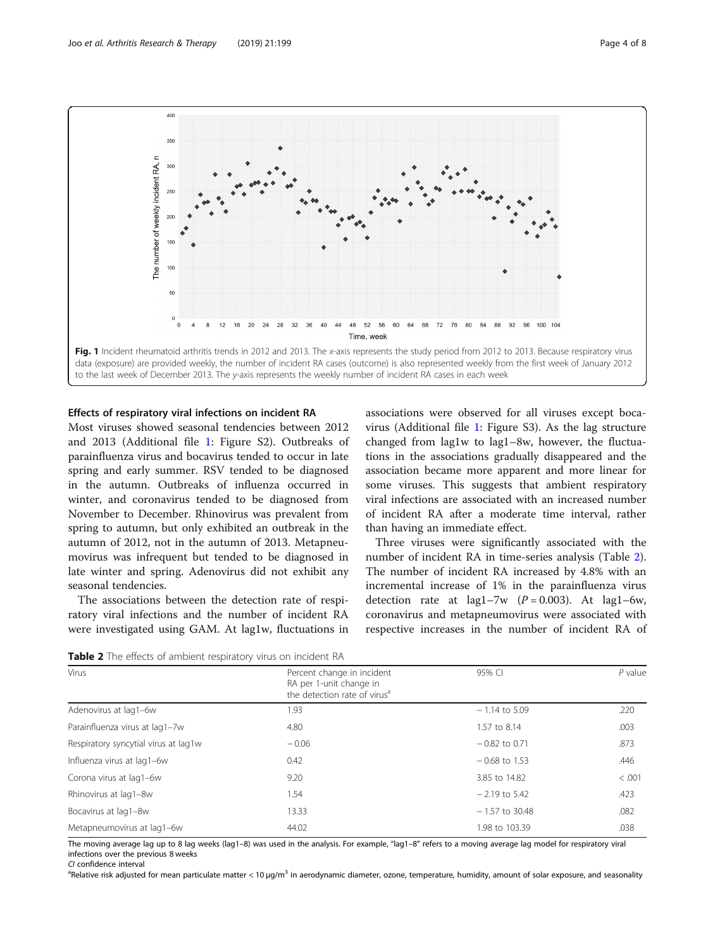<span id="page-3-0"></span>

#### Effects of respiratory viral infections on incident RA

Most viruses showed seasonal tendencies between 2012 and 2013 (Additional file [1:](#page-6-0) Figure S2). Outbreaks of parainfluenza virus and bocavirus tended to occur in late spring and early summer. RSV tended to be diagnosed in the autumn. Outbreaks of influenza occurred in winter, and coronavirus tended to be diagnosed from November to December. Rhinovirus was prevalent from spring to autumn, but only exhibited an outbreak in the autumn of 2012, not in the autumn of 2013. Metapneumovirus was infrequent but tended to be diagnosed in late winter and spring. Adenovirus did not exhibit any seasonal tendencies.

The associations between the detection rate of respiratory viral infections and the number of incident RA were investigated using GAM. At lag1w, fluctuations in associations were observed for all viruses except bocavirus (Additional file [1:](#page-6-0) Figure S3). As the lag structure changed from lag1w to lag1–8w, however, the fluctuations in the associations gradually disappeared and the association became more apparent and more linear for some viruses. This suggests that ambient respiratory viral infections are associated with an increased number of incident RA after a moderate time interval, rather than having an immediate effect.

Three viruses were significantly associated with the number of incident RA in time-series analysis (Table 2). The number of incident RA increased by 4.8% with an incremental increase of 1% in the parainfluenza virus detection rate at lag1-7w  $(P = 0.003)$ . At lag1-6w, coronavirus and metapneumovirus were associated with respective increases in the number of incident RA of

|  |  |  |  |  | Table 2 The effects of ambient respiratory virus on incident RA |  |  |  |  |
|--|--|--|--|--|-----------------------------------------------------------------|--|--|--|--|
|--|--|--|--|--|-----------------------------------------------------------------|--|--|--|--|

| Virus                                | Percent change in incident<br>RA per 1-unit change in<br>the detection rate of virus <sup>a</sup> | 95% CI           | $P$ value |
|--------------------------------------|---------------------------------------------------------------------------------------------------|------------------|-----------|
| Adenovirus at lag1-6w                | 1.93                                                                                              | $-1.14$ to 5.09  | .220      |
| Parainfluenza virus at lag1-7w       | 4.80                                                                                              | 1.57 to 8.14     | .003      |
| Respiratory syncytial virus at lag1w | $-0.06$                                                                                           | $-0.82$ to 0.71  | .873      |
| Influenza virus at lag1-6w           | 0.42                                                                                              | $-0.68$ to 1.53  | .446      |
| Corona virus at lag1-6w              | 9.20                                                                                              | 3.85 to 14.82    | < 0.001   |
| Rhinovirus at lag1-8w                | 1.54                                                                                              | $-2.19$ to 5.42  | .423      |
| Bocavirus at lag1-8w                 | 13.33                                                                                             | $-1.57$ to 30.48 | .082      |
| Metapneumovirus at lag1-6w           | 44.02                                                                                             | 1.98 to 103.39   | .038      |

The moving average lag up to 8 lag weeks (lag1–8) was used in the analysis. For example, "lag1–8" refers to a moving average lag model for respiratory viral infections over the previous 8 weeks

CI confidence interval

<sup>a</sup>Relative risk adjusted for mean particulate matter < 10 µg/m<sup>3</sup> in aerodynamic diameter, ozone, temperature, humidity, amount of solar exposure, and seasonality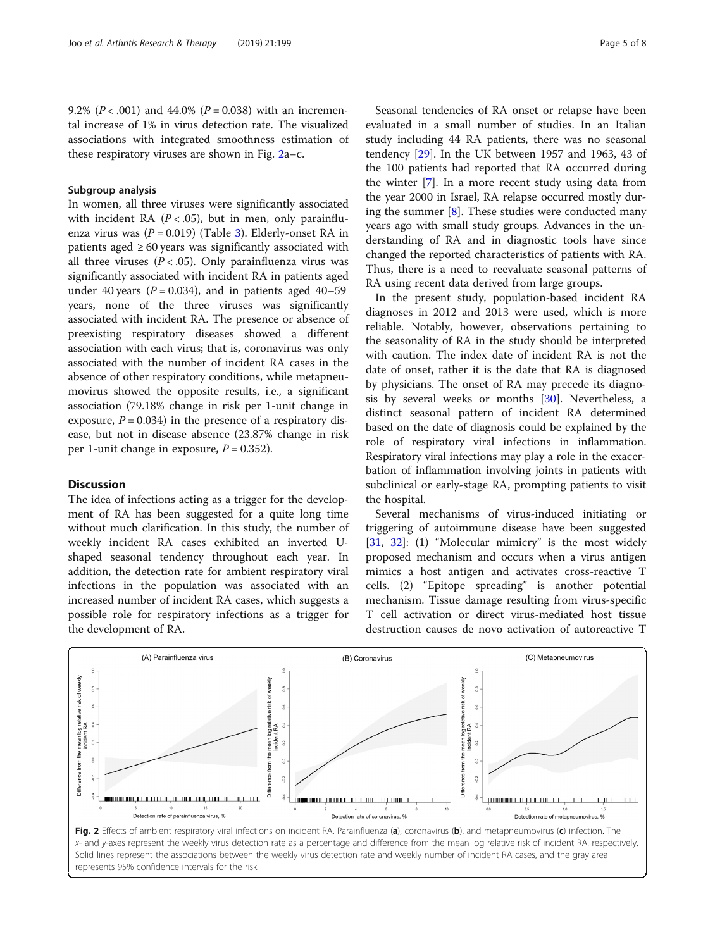9.2% ( $P < .001$ ) and 44.0% ( $P = 0.038$ ) with an incremental increase of 1% in virus detection rate. The visualized associations with integrated smoothness estimation of these respiratory viruses are shown in Fig. 2a–c.

#### Subgroup analysis

In women, all three viruses were significantly associated with incident RA  $(P < .05)$ , but in men, only parainfluenza virus was  $(P = 0.019)$  (Table [3\)](#page-5-0). Elderly-onset RA in patients aged  $\geq 60$  years was significantly associated with all three viruses  $(P < .05)$ . Only parainfluenza virus was significantly associated with incident RA in patients aged under 40 years ( $P = 0.034$ ), and in patients aged 40–59 years, none of the three viruses was significantly associated with incident RA. The presence or absence of preexisting respiratory diseases showed a different association with each virus; that is, coronavirus was only associated with the number of incident RA cases in the absence of other respiratory conditions, while metapneumovirus showed the opposite results, i.e., a significant association (79.18% change in risk per 1-unit change in exposure,  $P = 0.034$ ) in the presence of a respiratory disease, but not in disease absence (23.87% change in risk per 1-unit change in exposure,  $P = 0.352$ ).

#### **Discussion**

The idea of infections acting as a trigger for the development of RA has been suggested for a quite long time without much clarification. In this study, the number of weekly incident RA cases exhibited an inverted Ushaped seasonal tendency throughout each year. In addition, the detection rate for ambient respiratory viral infections in the population was associated with an increased number of incident RA cases, which suggests a possible role for respiratory infections as a trigger for the development of RA.

Seasonal tendencies of RA onset or relapse have been evaluated in a small number of studies. In an Italian study including 44 RA patients, there was no seasonal tendency [\[29](#page-7-0)]. In the UK between 1957 and 1963, 43 of the 100 patients had reported that RA occurred during the winter [[7\]](#page-7-0). In a more recent study using data from the year 2000 in Israel, RA relapse occurred mostly during the summer  $[8]$  $[8]$ . These studies were conducted many years ago with small study groups. Advances in the understanding of RA and in diagnostic tools have since changed the reported characteristics of patients with RA. Thus, there is a need to reevaluate seasonal patterns of RA using recent data derived from large groups.

In the present study, population-based incident RA diagnoses in 2012 and 2013 were used, which is more reliable. Notably, however, observations pertaining to the seasonality of RA in the study should be interpreted with caution. The index date of incident RA is not the date of onset, rather it is the date that RA is diagnosed by physicians. The onset of RA may precede its diagnosis by several weeks or months [[30](#page-7-0)]. Nevertheless, a distinct seasonal pattern of incident RA determined based on the date of diagnosis could be explained by the role of respiratory viral infections in inflammation. Respiratory viral infections may play a role in the exacerbation of inflammation involving joints in patients with subclinical or early-stage RA, prompting patients to visit the hospital.

Several mechanisms of virus-induced initiating or triggering of autoimmune disease have been suggested [[31,](#page-7-0) [32](#page-7-0)]: (1) "Molecular mimicry" is the most widely proposed mechanism and occurs when a virus antigen mimics a host antigen and activates cross-reactive T cells. (2) "Epitope spreading" is another potential mechanism. Tissue damage resulting from virus-specific T cell activation or direct virus-mediated host tissue destruction causes de novo activation of autoreactive T



Fig. 2 Effects of ambient respiratory viral infections on incident RA. Parainfluenza (a), coronavirus (b), and metapneumovirus (c) infection. The x- and y-axes represent the weekly virus detection rate as a percentage and difference from the mean log relative risk of incident RA, respectively. Solid lines represent the associations between the weekly virus detection rate and weekly number of incident RA cases, and the gray area represents 95% confidence intervals for the risk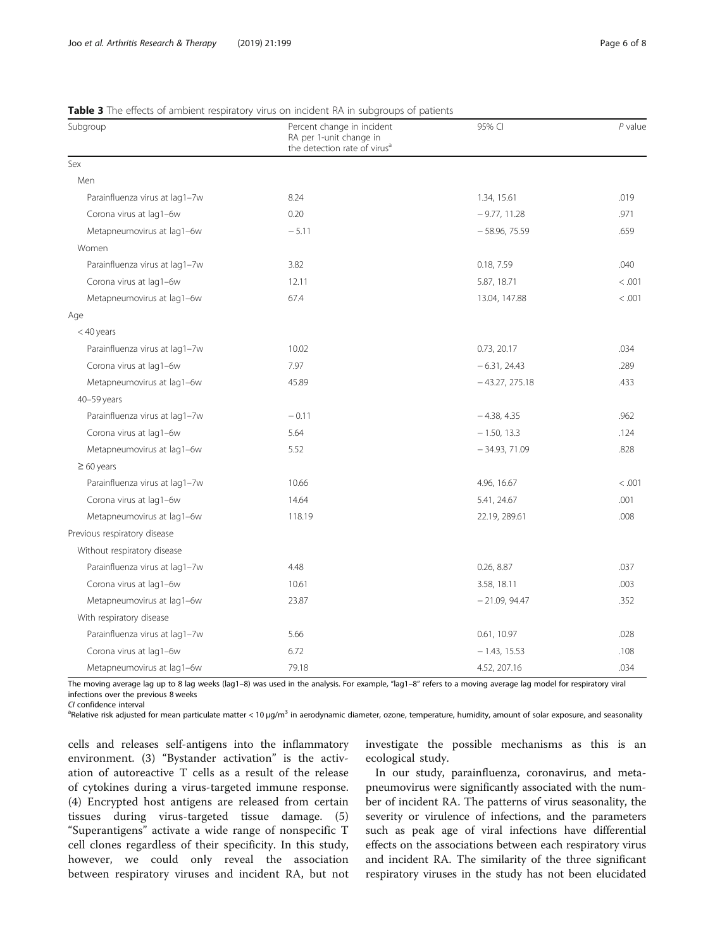| Subgroup                       | Percent change in incident<br>RA per 1-unit change in<br>the detection rate of virus <sup>a</sup> | 95% CI           | $P$ value |
|--------------------------------|---------------------------------------------------------------------------------------------------|------------------|-----------|
| Sex                            |                                                                                                   |                  |           |
| Men                            |                                                                                                   |                  |           |
| Parainfluenza virus at lag1-7w | 8.24                                                                                              | 1.34, 15.61      | .019      |
| Corona virus at lag1-6w        | 0.20                                                                                              | $-9.77, 11.28$   | .971      |
| Metapneumovirus at lag1-6w     | $-5.11$                                                                                           | $-58.96, 75.59$  | .659      |
| Women                          |                                                                                                   |                  |           |
| Parainfluenza virus at lag1-7w | 3.82                                                                                              | 0.18, 7.59       | .040      |
| Corona virus at lag1-6w        | 12.11                                                                                             | 5.87, 18.71      | < .001    |
| Metapneumovirus at lag1-6w     | 67.4                                                                                              | 13.04, 147.88    | < .001    |
| Age                            |                                                                                                   |                  |           |
| < 40 years                     |                                                                                                   |                  |           |
| Parainfluenza virus at lag1-7w | 10.02                                                                                             | 0.73, 20.17      | .034      |
| Corona virus at lag1-6w        | 7.97                                                                                              | $-6.31, 24.43$   | .289      |
| Metapneumovirus at lag1-6w     | 45.89                                                                                             | $-43.27, 275.18$ | .433      |
| 40-59 years                    |                                                                                                   |                  |           |
| Parainfluenza virus at lag1-7w | $-0.11$                                                                                           | $-4.38, 4.35$    | .962      |
| Corona virus at lag1-6w        | 5.64                                                                                              | $-1.50, 13.3$    | .124      |
| Metapneumovirus at lag1-6w     | 5.52                                                                                              | $-34.93, 71.09$  | .828      |
| $\geq 60$ years                |                                                                                                   |                  |           |
| Parainfluenza virus at lag1-7w | 10.66                                                                                             | 4.96, 16.67      | < .001    |
| Corona virus at lag1-6w        | 14.64                                                                                             | 5.41, 24.67      | .001      |
| Metapneumovirus at lag1-6w     | 118.19                                                                                            | 22.19, 289.61    | .008      |
| Previous respiratory disease   |                                                                                                   |                  |           |
| Without respiratory disease    |                                                                                                   |                  |           |
| Parainfluenza virus at lag1-7w | 4.48                                                                                              | 0.26, 8.87       | .037      |
| Corona virus at lag1-6w        | 10.61                                                                                             | 3.58, 18.11      | .003      |
| Metapneumovirus at lag1-6w     | 23.87                                                                                             | $-21.09, 94.47$  | .352      |
| With respiratory disease       |                                                                                                   |                  |           |
| Parainfluenza virus at lag1-7w | 5.66                                                                                              | 0.61, 10.97      | .028      |
| Corona virus at lag1-6w        | 6.72                                                                                              | $-1.43, 15.53$   | .108      |
| Metapneumovirus at lag1-6w     | 79.18                                                                                             | 4.52, 207.16     | .034      |

#### <span id="page-5-0"></span>Table 3 The effects of ambient respiratory virus on incident RA in subgroups of patients

The moving average lag up to 8 lag weeks (lag1–8) was used in the analysis. For example, "lag1–8" refers to a moving average lag model for respiratory viral infections over the previous 8 weeks<br>CL confidence interval

CI confidence interval<br><sup>a</sup>Relative risk adjusted for mean particulate matter < 10 μg/m<sup>3</sup> in aerodynamic diameter, ozone, temperature, humidity, amount of solar exposure, and seasonality

cells and releases self-antigens into the inflammatory environment. (3) "Bystander activation" is the activation of autoreactive T cells as a result of the release of cytokines during a virus-targeted immune response. (4) Encrypted host antigens are released from certain tissues during virus-targeted tissue damage. (5) "Superantigens" activate a wide range of nonspecific T cell clones regardless of their specificity. In this study, however, we could only reveal the association between respiratory viruses and incident RA, but not investigate the possible mechanisms as this is an ecological study.

In our study, parainfluenza, coronavirus, and metapneumovirus were significantly associated with the number of incident RA. The patterns of virus seasonality, the severity or virulence of infections, and the parameters such as peak age of viral infections have differential effects on the associations between each respiratory virus and incident RA. The similarity of the three significant respiratory viruses in the study has not been elucidated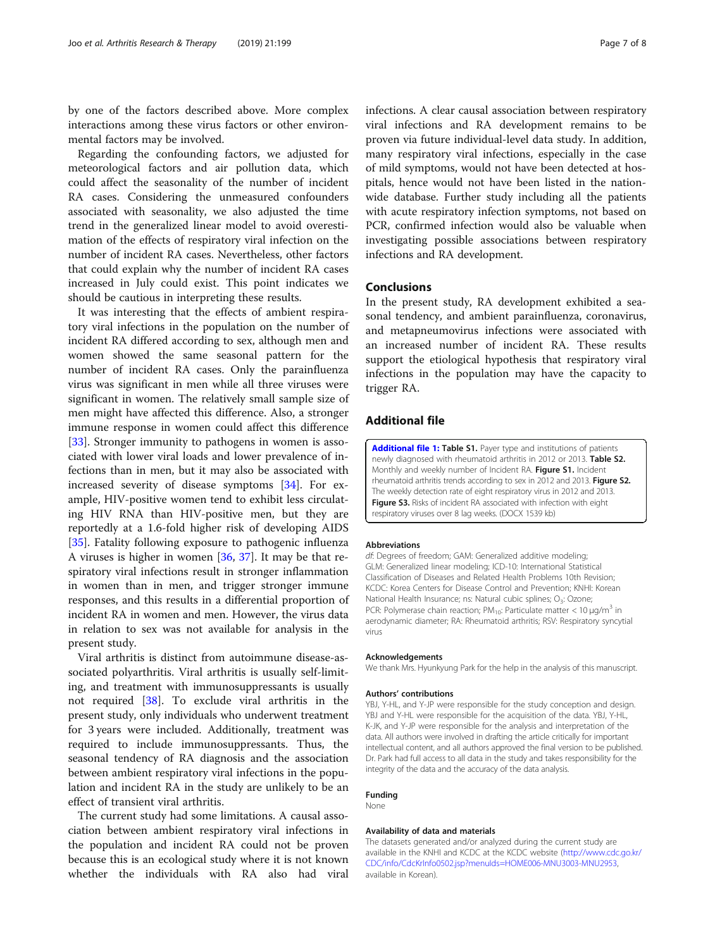<span id="page-6-0"></span>by one of the factors described above. More complex interactions among these virus factors or other environmental factors may be involved.

Regarding the confounding factors, we adjusted for meteorological factors and air pollution data, which could affect the seasonality of the number of incident RA cases. Considering the unmeasured confounders associated with seasonality, we also adjusted the time trend in the generalized linear model to avoid overestimation of the effects of respiratory viral infection on the number of incident RA cases. Nevertheless, other factors that could explain why the number of incident RA cases increased in July could exist. This point indicates we should be cautious in interpreting these results.

It was interesting that the effects of ambient respiratory viral infections in the population on the number of incident RA differed according to sex, although men and women showed the same seasonal pattern for the number of incident RA cases. Only the parainfluenza virus was significant in men while all three viruses were significant in women. The relatively small sample size of men might have affected this difference. Also, a stronger immune response in women could affect this difference [[33\]](#page-7-0). Stronger immunity to pathogens in women is associated with lower viral loads and lower prevalence of infections than in men, but it may also be associated with increased severity of disease symptoms [[34\]](#page-7-0). For example, HIV-positive women tend to exhibit less circulating HIV RNA than HIV-positive men, but they are reportedly at a 1.6-fold higher risk of developing AIDS [[35\]](#page-7-0). Fatality following exposure to pathogenic influenza A viruses is higher in women [[36,](#page-7-0) [37\]](#page-7-0). It may be that respiratory viral infections result in stronger inflammation in women than in men, and trigger stronger immune responses, and this results in a differential proportion of incident RA in women and men. However, the virus data in relation to sex was not available for analysis in the present study.

Viral arthritis is distinct from autoimmune disease-associated polyarthritis. Viral arthritis is usually self-limiting, and treatment with immunosuppressants is usually not required [\[38](#page-7-0)]. To exclude viral arthritis in the present study, only individuals who underwent treatment for 3 years were included. Additionally, treatment was required to include immunosuppressants. Thus, the seasonal tendency of RA diagnosis and the association between ambient respiratory viral infections in the population and incident RA in the study are unlikely to be an effect of transient viral arthritis.

The current study had some limitations. A causal association between ambient respiratory viral infections in the population and incident RA could not be proven because this is an ecological study where it is not known whether the individuals with RA also had viral

infections. A clear causal association between respiratory viral infections and RA development remains to be proven via future individual-level data study. In addition, many respiratory viral infections, especially in the case of mild symptoms, would not have been detected at hospitals, hence would not have been listed in the nationwide database. Further study including all the patients with acute respiratory infection symptoms, not based on PCR, confirmed infection would also be valuable when investigating possible associations between respiratory infections and RA development.

#### Conclusions

In the present study, RA development exhibited a seasonal tendency, and ambient parainfluenza, coronavirus, and metapneumovirus infections were associated with an increased number of incident RA. These results support the etiological hypothesis that respiratory viral infections in the population may have the capacity to trigger RA.

#### Additional file

[Additional file 1:](https://doi.org/10.1186/s13075-019-1977-9) Table S1. Payer type and institutions of patients newly diagnosed with rheumatoid arthritis in 2012 or 2013. Table S2. Monthly and weekly number of Incident RA. Figure S1. Incident rheumatoid arthritis trends according to sex in 2012 and 2013. Figure S2. The weekly detection rate of eight respiratory virus in 2012 and 2013. Figure S3. Risks of incident RA associated with infection with eight respiratory viruses over 8 lag weeks. (DOCX 1539 kb)

#### Abbreviations

df: Degrees of freedom; GAM: Generalized additive modeling; GLM: Generalized linear modeling; ICD-10: International Statistical Classification of Diseases and Related Health Problems 10th Revision; KCDC: Korea Centers for Disease Control and Prevention; KNHI: Korean National Health Insurance; ns: Natural cubic splines; O<sub>3</sub>: Ozone; PCR: Polymerase chain reaction;  $PM_{10}$ : Particulate matter < 10  $\mu$ g/m<sup>3</sup> in aerodynamic diameter; RA: Rheumatoid arthritis; RSV: Respiratory syncytial virus

#### Acknowledgements

We thank Mrs. Hyunkyung Park for the help in the analysis of this manuscript.

#### Authors' contributions

YBJ, Y-HL, and Y-JP were responsible for the study conception and design. YBJ and Y-HL were responsible for the acquisition of the data. YBJ, Y-HL, K-JK, and Y-JP were responsible for the analysis and interpretation of the data. All authors were involved in drafting the article critically for important intellectual content, and all authors approved the final version to be published. Dr. Park had full access to all data in the study and takes responsibility for the integrity of the data and the accuracy of the data analysis.

#### Funding

None

#### Availability of data and materials

The datasets generated and/or analyzed during the current study are available in the KNHI and KCDC at the KCDC website [\(http://www.cdc.go.kr/](http://www.cdc.go.kr/CDC/info/CdcKrInfo0502.jsp?menuIds=HOME006-MNU3003-MNU2953) [CDC/info/CdcKrInfo0502.jsp?menuIds=HOME006-MNU3003-MNU2953](http://www.cdc.go.kr/CDC/info/CdcKrInfo0502.jsp?menuIds=HOME006-MNU3003-MNU2953), available in Korean).